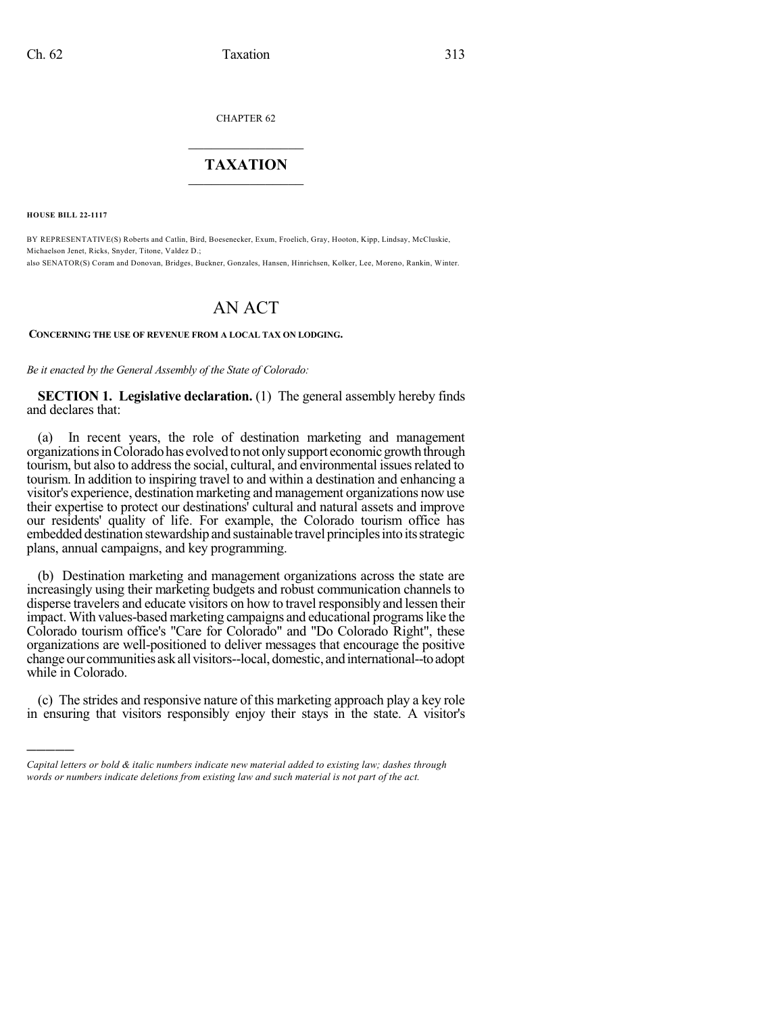CHAPTER 62

## $\overline{\phantom{a}}$  . The set of the set of the set of the set of the set of the set of the set of the set of the set of the set of the set of the set of the set of the set of the set of the set of the set of the set of the set o **TAXATION**  $\_$

**HOUSE BILL 22-1117**

)))))

BY REPRESENTATIVE(S) Roberts and Catlin, Bird, Boesenecker, Exum, Froelich, Gray, Hooton, Kipp, Lindsay, McCluskie, Michaelson Jenet, Ricks, Snyder, Titone, Valdez D.; also SENATOR(S) Coram and Donovan, Bridges, Buckner, Gonzales, Hansen, Hinrichsen, Kolker, Lee, Moreno, Rankin, Winter.

# AN ACT

#### **CONCERNING THE USE OF REVENUE FROM A LOCAL TAX ON LODGING.**

*Be it enacted by the General Assembly of the State of Colorado:*

**SECTION 1. Legislative declaration.** (1) The general assembly hereby finds and declares that:

(a) In recent years, the role of destination marketing and management organizationsinColoradohas evolvedtonot onlysupport economicgrowththrough tourism, but also to address the social, cultural, and environmental issues related to tourism. In addition to inspiring travel to and within a destination and enhancing a visitor's experience, destination marketing and management organizations nowuse their expertise to protect our destinations' cultural and natural assets and improve our residents' quality of life. For example, the Colorado tourism office has embedded destination stewardship and sustainable travel principles into its strategic plans, annual campaigns, and key programming.

(b) Destination marketing and management organizations across the state are increasingly using their marketing budgets and robust communication channels to disperse travelers and educate visitors on how to travel responsibly and lessen their impact. With values-based marketing campaigns and educational programslike the Colorado tourism office's "Care for Colorado" and "Do Colorado Right", these organizations are well-positioned to deliver messages that encourage the positive change our communities ask all visitors--local, domestic, and international--to adopt while in Colorado.

(c) The strides and responsive nature of this marketing approach play a key role in ensuring that visitors responsibly enjoy their stays in the state. A visitor's

*Capital letters or bold & italic numbers indicate new material added to existing law; dashes through words or numbers indicate deletions from existing law and such material is not part of the act.*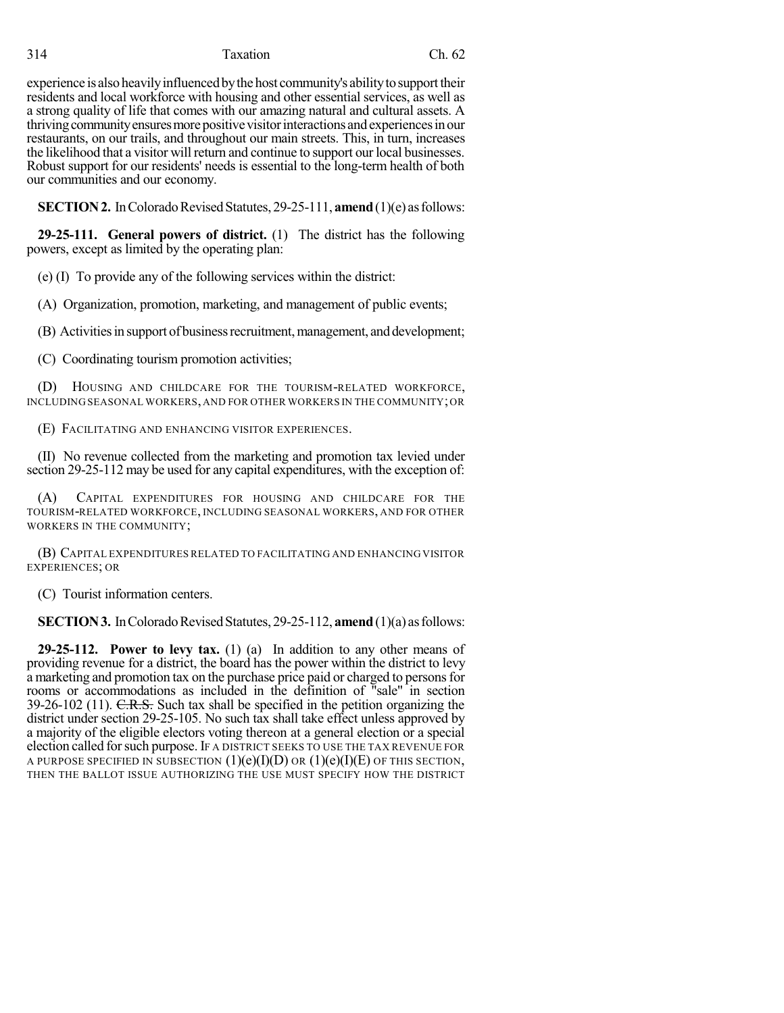#### 314 Taxation Ch. 62

experience is also heavily influenced by the host community's ability to support their residents and local workforce with housing and other essential services, as well as a strong quality of life that comes with our amazing natural and cultural assets. A thriving community ensures more positive visitor interactions and experiences in our restaurants, on our trails, and throughout our main streets. This, in turn, increases the likelihood that a visitor will return and continue to support our local businesses. Robust support for our residents' needs is essential to the long-term health of both our communities and our economy.

**SECTION 2.** In Colorado Revised Statutes, 29-25-111, **amend** (1)(e) as follows:

**29-25-111. General powers of district.** (1) The district has the following powers, except as limited by the operating plan:

(e) (I) To provide any of the following services within the district:

(A) Organization, promotion, marketing, and management of public events;

(B) Activities in support of business recruitment, management, and development;

(C) Coordinating tourism promotion activities;

(D) HOUSING AND CHILDCARE FOR THE TOURISM-RELATED WORKFORCE, INCLUDING SEASONAL WORKERS, AND FOR OTHER WORKERS IN THE COMMUNITY;OR

(E) FACILITATING AND ENHANCING VISITOR EXPERIENCES.

(II) No revenue collected from the marketing and promotion tax levied under section 29-25-112 may be used for any capital expenditures, with the exception of:

(A) CAPITAL EXPENDITURES FOR HOUSING AND CHILDCARE FOR THE TOURISM-RELATED WORKFORCE, INCLUDING SEASONAL WORKERS, AND FOR OTHER WORKERS IN THE COMMUNITY;

(B) CAPITAL EXPENDITURES RELATED TO FACILITATING AND ENHANCING VISITOR EXPERIENCES; OR

(C) Tourist information centers.

**SECTION 3.** In Colorado Revised Statutes, 29-25-112, **amend** (1)(a) as follows:

**29-25-112. Power to levy tax.** (1) (a) In addition to any other means of providing revenue for a district, the board has the power within the district to levy a marketing and promotion tax on the purchase price paid or charged to personsfor rooms or accommodations as included in the definition of "sale" in section 39-26-102 (11).  $C.R.S.$  Such tax shall be specified in the petition organizing the district under section 29-25-105. No such tax shall take effect unless approved by a majority of the eligible electors voting thereon at a general election or a special election called forsuch purpose. IF A DISTRICT SEEKS TO USE THE TAX REVENUE FOR A PURPOSE SPECIFIED IN SUBSECTION  $(1)(e)(I)(D)$  OR  $(1)(e)(I)(E)$  OF THIS SECTION, THEN THE BALLOT ISSUE AUTHORIZING THE USE MUST SPECIFY HOW THE DISTRICT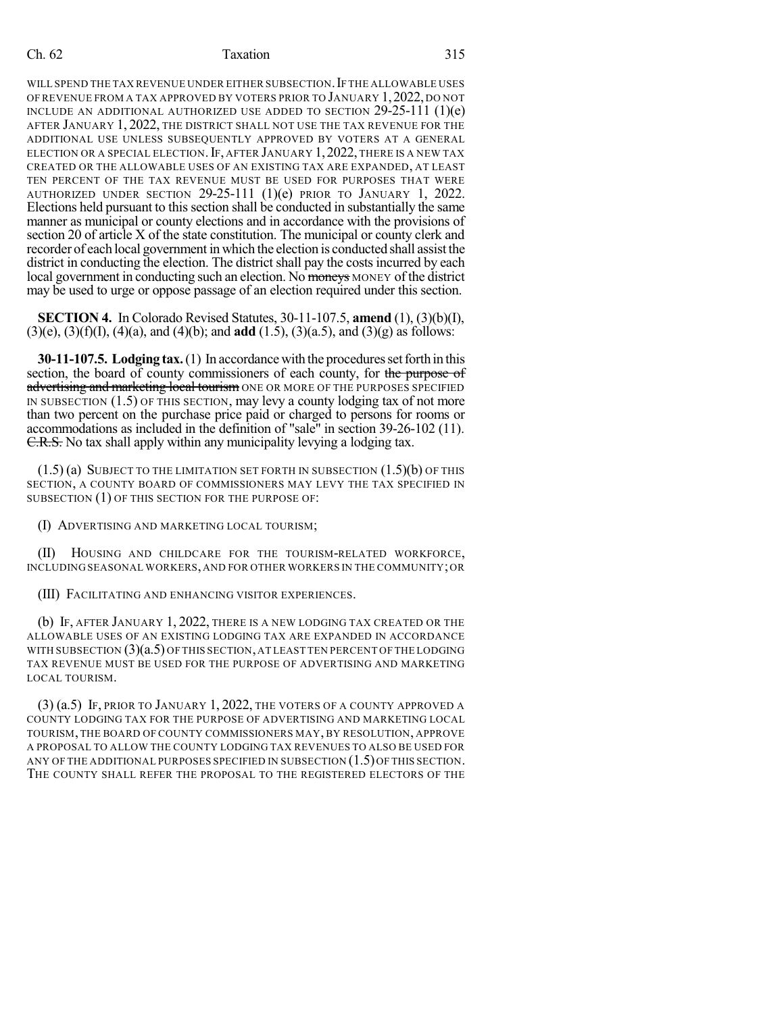#### Ch. 62 Taxation 315

WILL SPEND THE TAX REVENUE UNDER EITHER SUBSECTION. IF THE ALLOWABLE USES OF REVENUE FROM A TAX APPROVED BY VOTERS PRIOR TO JANUARY 1,2022, DO NOT INCLUDE AN ADDITIONAL AUTHORIZED USE ADDED TO SECTION  $29-25-111$  (1)(e) AFTER JANUARY 1, 2022, THE DISTRICT SHALL NOT USE THE TAX REVENUE FOR THE ADDITIONAL USE UNLESS SUBSEQUENTLY APPROVED BY VOTERS AT A GENERAL ELECTION OR A SPECIAL ELECTION. IF, AFTER JANUARY 1, 2022, THERE IS A NEW TAX CREATED OR THE ALLOWABLE USES OF AN EXISTING TAX ARE EXPANDED, AT LEAST TEN PERCENT OF THE TAX REVENUE MUST BE USED FOR PURPOSES THAT WERE AUTHORIZED UNDER SECTION 29-25-111 (1)(e) PRIOR TO JANUARY 1, 2022. Elections held pursuant to this section shall be conducted in substantially the same manner as municipal or county elections and in accordance with the provisions of section 20 of article X of the state constitution. The municipal or county clerk and recorder of each local government in which the election is conducted shall assist the district in conducting the election. The district shall pay the costs incurred by each local government in conducting such an election. No moneys MONEY of the district may be used to urge or oppose passage of an election required under this section.

**SECTION 4.** In Colorado Revised Statutes, 30-11-107.5, **amend** (1), (3)(b)(I), (3)(e), (3)(f)(I), (4)(a), and (4)(b); and **add** (1.5), (3)(a.5), and (3)(g) as follows:

**30-11-107.5. Lodging tax.** (1) In accordance with the procedures set forth in this section, the board of county commissioners of each county, for the purpose of advertising and marketing local tourism ONE OR MORE OF THE PURPOSES SPECIFIED IN SUBSECTION (1.5) OF THIS SECTION, may levy a county lodging tax of not more than two percent on the purchase price paid or charged to persons for rooms or accommodations as included in the definition of "sale" in section 39-26-102 (11). C.R.S. No tax shall apply within any municipality levying a lodging tax.

 $(1.5)$  (a) SUBJECT TO THE LIMITATION SET FORTH IN SUBSECTION  $(1.5)$  (b) OF THIS SECTION, A COUNTY BOARD OF COMMISSIONERS MAY LEVY THE TAX SPECIFIED IN SUBSECTION (1) OF THIS SECTION FOR THE PURPOSE OF:

(I) ADVERTISING AND MARKETING LOCAL TOURISM;

(II) HOUSING AND CHILDCARE FOR THE TOURISM-RELATED WORKFORCE, INCLUDING SEASONAL WORKERS, AND FOR OTHER WORKERS IN THE COMMUNITY;OR

(III) FACILITATING AND ENHANCING VISITOR EXPERIENCES.

(b) IF, AFTER JANUARY 1, 2022, THERE IS A NEW LODGING TAX CREATED OR THE ALLOWABLE USES OF AN EXISTING LODGING TAX ARE EXPANDED IN ACCORDANCE WITH SUBSECTION (3)(a.5) OF THIS SECTION, AT LEAST TEN PERCENT OF THE LODGING TAX REVENUE MUST BE USED FOR THE PURPOSE OF ADVERTISING AND MARKETING LOCAL TOURISM.

(3) (a.5) IF, PRIOR TO JANUARY 1, 2022, THE VOTERS OF A COUNTY APPROVED A COUNTY LODGING TAX FOR THE PURPOSE OF ADVERTISING AND MARKETING LOCAL TOURISM, THE BOARD OF COUNTY COMMISSIONERS MAY, BY RESOLUTION, APPROVE A PROPOSAL TO ALLOW THE COUNTY LODGING TAX REVENUES TO ALSO BE USED FOR ANY OF THE ADDITIONAL PURPOSES SPECIFIED IN SUBSECTION  $(1.5)$  OF THIS SECTION. THE COUNTY SHALL REFER THE PROPOSAL TO THE REGISTERED ELECTORS OF THE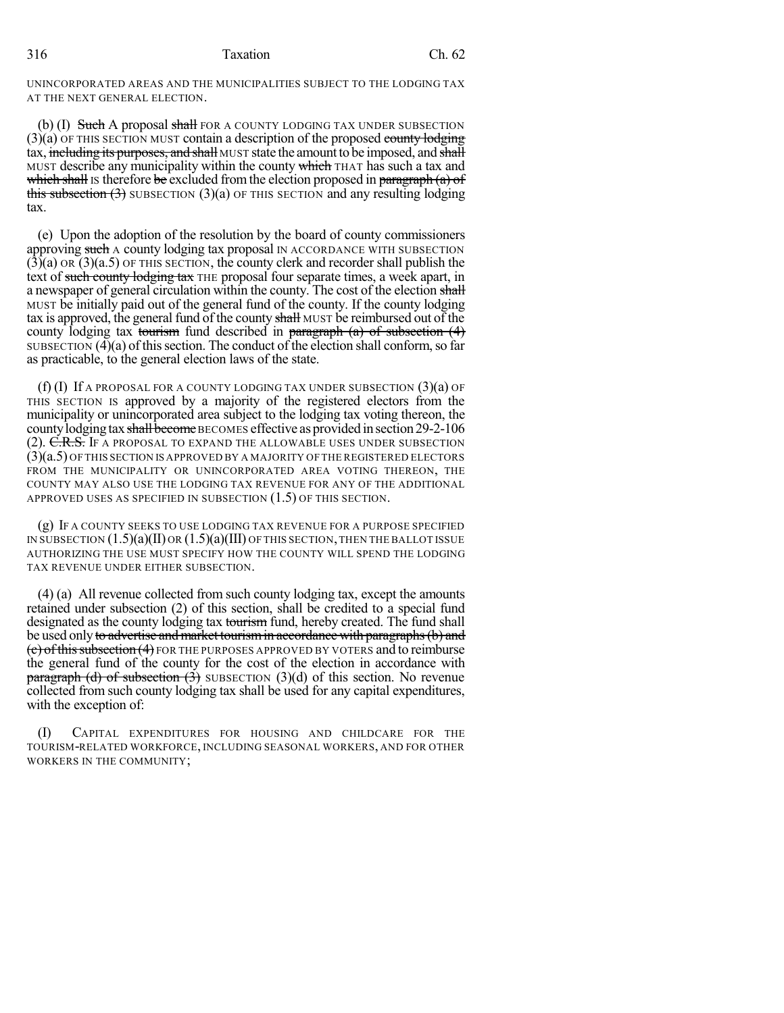316 Taxation Ch. 62

UNINCORPORATED AREAS AND THE MUNICIPALITIES SUBJECT TO THE LODGING TAX AT THE NEXT GENERAL ELECTION.

(b) (I) Such A proposal shall FOR A COUNTY LODGING TAX UNDER SUBSECTION  $(3)(a)$  OF THIS SECTION MUST contain a description of the proposed county lodging tax, including its purposes, and shall MUST state the amount to be imposed, and shall MUST describe any municipality within the county which THAT has such a tax and which shall is therefore be excluded from the election proposed in paragraph  $(a)$  of this subsection  $(3)$  SUBSECTION  $(3)(a)$  OF THIS SECTION and any resulting lodging tax.

(e) Upon the adoption of the resolution by the board of county commissioners approving such A county lodging tax proposal IN ACCORDANCE WITH SUBSECTION  $(3)(a)$  OR  $(3)(a.5)$  OF THIS SECTION, the county clerk and recorder shall publish the text of such county lodging tax THE proposal four separate times, a week apart, in a newspaper of general circulation within the county. The cost of the election shall MUST be initially paid out of the general fund of the county. If the county lodging tax is approved, the general fund of the county shall MUST be reimbursed out of the county lodging tax tourism fund described in paragraph  $(a)$  of subsection  $(4)$ SUBSECTION  $(\overline{4})(a)$  of this section. The conduct of the election shall conform, so far as practicable, to the general election laws of the state.

 $(f)$  (I) If a proposal for a county lodging tax under subsection  $(3)(a)$  of THIS SECTION IS approved by a majority of the registered electors from the municipality or unincorporated area subject to the lodging tax voting thereon, the county lodging tax shall become BECOMES effective as provided in section 29-2-106 (2). C.R.S. If a proposal to expand the allowable uses under subsection (3)(a.5) OF THIS SECTION IS APPROVED BY A MAJORITY OF THE REGISTERED ELECTORS FROM THE MUNICIPALITY OR UNINCORPORATED AREA VOTING THEREON, THE COUNTY MAY ALSO USE THE LODGING TAX REVENUE FOR ANY OF THE ADDITIONAL APPROVED USES AS SPECIFIED IN SUBSECTION (1.5) OF THIS SECTION.

(g) IF A COUNTY SEEKS TO USE LODGING TAX REVENUE FOR A PURPOSE SPECIFIED IN SUBSECTION  $(1.5)(a)(II)$  OR  $(1.5)(a)(III)$  OF THIS SECTION, THEN THE BALLOT ISSUE AUTHORIZING THE USE MUST SPECIFY HOW THE COUNTY WILL SPEND THE LODGING TAX REVENUE UNDER EITHER SUBSECTION.

(4) (a) All revenue collected from such county lodging tax, except the amounts retained under subsection (2) of this section, shall be credited to a special fund designated as the county lodging tax tourism fund, hereby created. The fund shall be used only to advertise and market tourism in accordance with paragraphs (b) and  $(c)$  of this subsection  $(4)$  FOR THE PURPOSES APPROVED BY VOTERS and to reimburse the general fund of the county for the cost of the election in accordance with **paragraph (d) of subsection (3)** SUBSECTION (3)(d) of this section. No revenue collected from such county lodging tax shall be used for any capital expenditures, with the exception of:

(I) CAPITAL EXPENDITURES FOR HOUSING AND CHILDCARE FOR THE TOURISM-RELATED WORKFORCE, INCLUDING SEASONAL WORKERS, AND FOR OTHER WORKERS IN THE COMMUNITY;